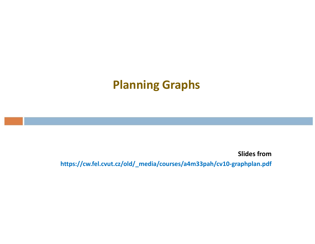Slides from https://cw.fel.cvut.cz/old/\_media/courses/a4m33pah/cv10-graphplan.pdf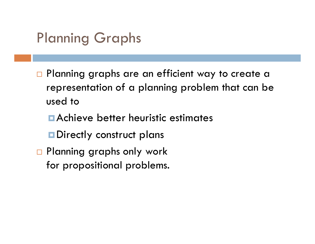- □ Planning graphs are an efficient way to create a representation of a planning problem that can be used to
	- Achieve better heuristic estimates
	- **Directly construct plans**
- □ Planning graphs only work for propositional problems.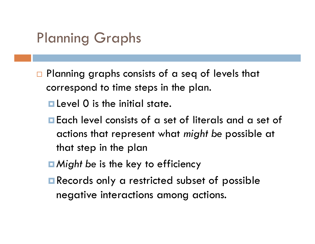- $\Box$  Planning graphs consists of a seq of levels that correspond to time steps in the plan.
	- **Level 0** is the initial state.
	- Each level consists of a set of literals and a set of actions that represent what *might be* possible at that step in the plan
	- *Might be* is the key to efficiency
	- **Records only a restricted subset of possible** negative interactions among actions.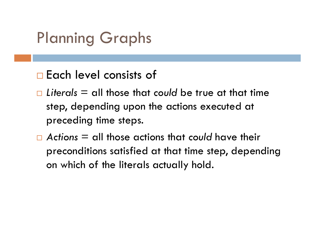#### □ Each level consists of

- *Literals* = all those that *could* be true at that time step, depending upon the actions executed at preceding time steps.
- *Actions* = all those actions that *could* have their preconditions satisfied at that time step, depending on which of the literals actually hold.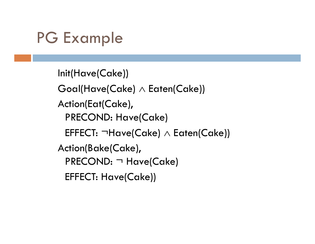```
Init(Have(Cake))
Goal(Have(Cake) \wedge Each(Cake))Action(Eat(Cake), 
 PRECOND: Have(Cake)
 EFFECT: ¬Have(Cake) \land Eaten(Cake))
Action(Bake(Cake), 
 PRECOND: ¬ Have(Cake)
 EFFECT: Have(Cake))
```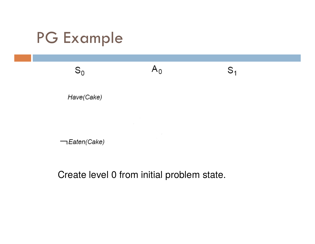$S_0$ 

Have(Cake)

-Eaten(Cake)

Create level 0 from initial problem state.

 $A_0$ 

 $S_1$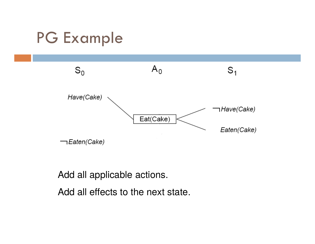

Add all applicable actions.

Add all effects to the next state.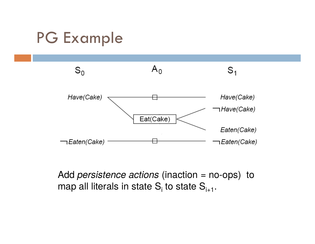

Add *persistence actions* (inaction = no-ops) to map all literals in state  $S_i$  to state  $S_{i+1}$ .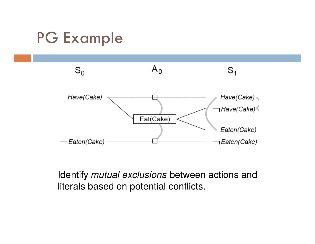

Identify *mutual exclusions* between actions and literals based on potential conflicts.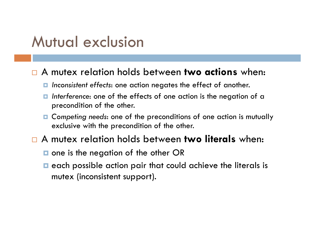#### Mutual exclusion

#### A mutex relation holds between **two actions** when:

- *Inconsistent effects*: one action negates the effect of another.
- *Interference*: one of the effects of one action is the negation of a precondition of the other.
- *Competing needs*: one of the preconditions of one action is mutually exclusive with the precondition of the other.
- A mutex relation holds between **two literals** when:
	- $\blacksquare$  one is the negation of the other OR
	- $\blacksquare$  each possible action pair that could achieve the literals is mutex (inconsistent support).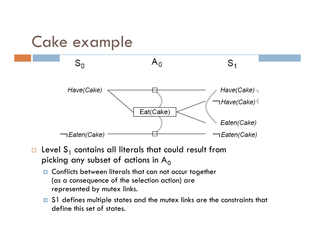## Cake example



- $\Box$  Level S<sub>1</sub> contains all literals that could result from picking any subset of actions in  $A_0$ 
	- **n** Conflicts between literals that can not occur together (as a consequence of the selection action) are represented by mutex links.
	- S1 defines multiple states and the mutex links are the constraints that define this set of states.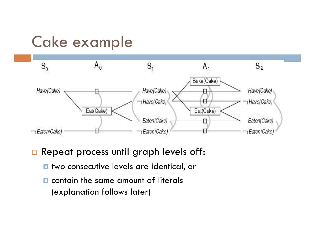# Cake example



- □ Repeat process until graph levels off:
	- $\blacksquare$  two consecutive levels are identical, or
	- $\Box$  contain the same amount of literals (explanation follows later)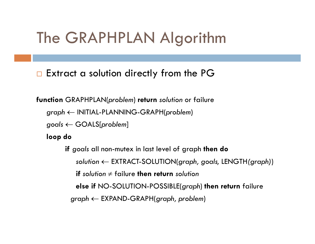#### The GRAPHPLAN Algorithm

Extract a solution directly from the PG

**function** GRAPHPLAN(*problem*) **return** *solution* or failure

*graph* INITIAL-PLANNING-GRAPH(*problem*)

*goals* GOALS[*problem*]

**loop do**

**if** *goals* all non-mutex in last level of graph **then do** *solution* EXTRACT-SOLUTION(*graph, goals,* LENGTH*(graph)*) **if** solution  $\neq$  failure **then return** solution **else if** NO-SOLUTION-POSSIBLE(*graph*) **then return** failure *graph* EXPAND-GRAPH(*graph, problem*)